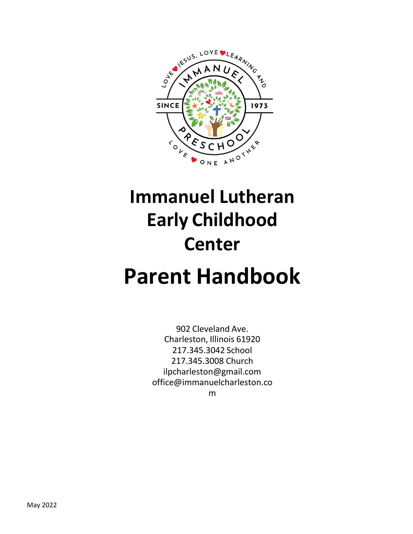

# **Immanuel Lutheran Early Childhood Center Parent Handbook**

902 Cleveland Ave. Charleston, Illinois 61920 217.345.3042 School 217.345.3008 Church [ilpcharleston@gmail.com](mailto:ilpcharleston@gmail.com) [office@immanuelcharleston.co](mailto:office@immanuelcharleston.com) [m](mailto:office@immanuelcharleston.com)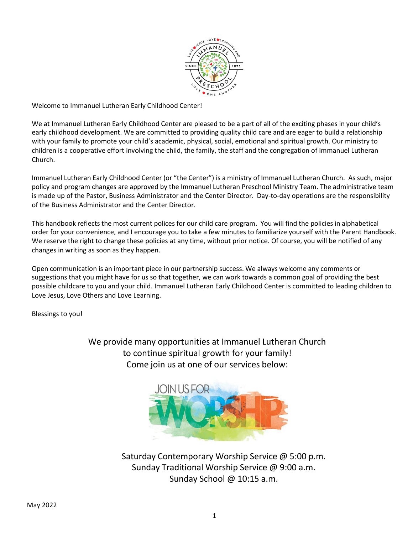

Welcome to Immanuel Lutheran Early Childhood Center!

We at Immanuel Lutheran Early Childhood Center are pleased to be a part of all of the exciting phases in your child's early childhood development. We are committed to providing quality child care and are eager to build a relationship with your family to promote your child's academic, physical, social, emotional and spiritual growth. Our ministry to children is a cooperative effort involving the child, the family, the staff and the congregation of Immanuel Lutheran Church.

Immanuel Lutheran Early Childhood Center (or "the Center") is a ministry of Immanuel Lutheran Church. As such, major policy and program changes are approved by the Immanuel Lutheran Preschool Ministry Team. The administrative team is made up of the Pastor, Business Administrator and the Center Director. Day-to-day operations are the responsibility of the Business Administrator and the Center Director.

This handbook reflects the most current polices for our child care program. You will find the policies in alphabetical order for your convenience, and I encourage you to take a few minutes to familiarize yourself with the Parent Handbook. We reserve the right to change these policies at any time, without prior notice. Of course, you will be notified of any changes in writing as soon as they happen.

Open communication is an important piece in our partnership success. We always welcome any comments or suggestions that you might have for us so that together, we can work towards a common goal of providing the best possible childcare to you and your child. Immanuel Lutheran Early Childhood Center is committed to leading children to Love Jesus, Love Others and Love Learning.

Blessings to you!

We provide many opportunities at Immanuel Lutheran Church to continue spiritual growth for your family! Come join us at one of our services below:



Saturday Contemporary Worship Service @ 5:00 p.m. Sunday Traditional Worship Service @ 9:00 a.m. Sunday School @ 10:15 a.m.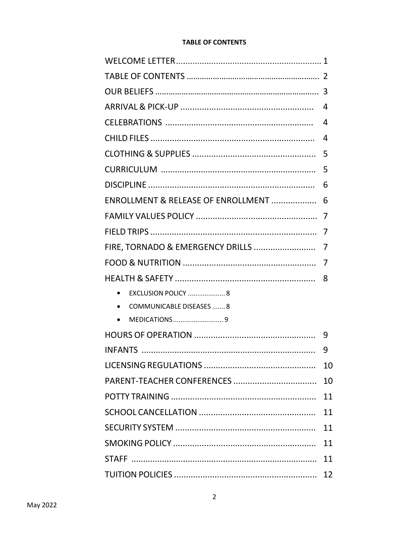# **TABLE OF CONTENTS**

|                                    | 4  |
|------------------------------------|----|
|                                    | 4  |
|                                    | 4  |
|                                    | 5  |
|                                    | 5  |
|                                    | 6  |
| ENROLLMENT & RELEASE OF ENROLLMENT | 6  |
|                                    |    |
|                                    | 7  |
| FIRE, TORNADO & EMERGENCY DRILLS   | 7  |
|                                    | 7  |
|                                    | 8  |
|                                    |    |
| • COMMUNICABLE DISEASES  8         |    |
|                                    |    |
|                                    | 9  |
|                                    | 9  |
|                                    | 10 |
|                                    | 10 |
|                                    | 11 |
|                                    | 11 |
|                                    | 11 |
|                                    | 11 |
|                                    | 11 |
|                                    | 12 |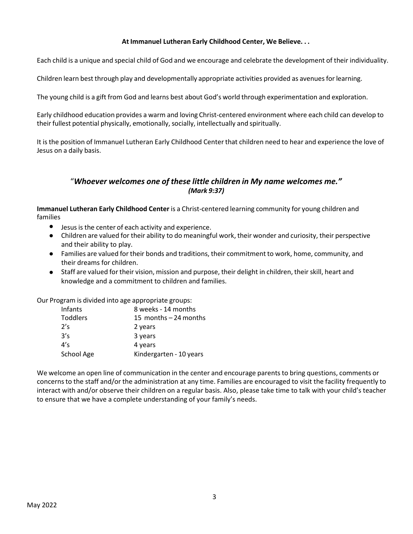# **At Immanuel Lutheran Early Childhood Center, We Believe. . .**

Each child is a unique and special child of God and we encourage and celebrate the development of their individuality.

Children learn best through play and developmentally appropriate activities provided as avenuesforlearning.

The young child is a gift from God and learns best about God's world through experimentation and exploration.

Early childhood education provides a warm and loving Christ-centered environment where each child can develop to their fullest potential physically, emotionally, socially, intellectually and spiritually.

It is the position of Immanuel Lutheran Early Childhood Center that children need to hear and experience the love of Jesus on a daily basis.

# "*Whoever welcomes one of these little children in My name welcomes me." (Mark 9:37)*

**Immanuel Lutheran Early Childhood Center** is a Christ-centered learning community for young children and families

- Jesus is the center of each activity and experience.
- Children are valued for their ability to do meaningful work, their wonder and curiosity, their perspective and their ability to play.
- Families are valued for their bonds and traditions, their commitment to work, home, community, and their dreams for children.
- Staff are valued for their vision, mission and purpose, their delight in children, their skill, heart and knowledge and a commitment to children and families.

Our Program is divided into age appropriate groups:

| Infants    | 8 weeks - 14 months     |
|------------|-------------------------|
| Toddlers   | 15 months $-24$ months  |
| 2's        | 2 years                 |
| 3's        | 3 years                 |
| 4's        | 4 years                 |
| School Age | Kindergarten - 10 years |

We welcome an open line of communication in the center and encourage parents to bring questions, comments or concernsto the staff and/or the administration at any time. Families are encouraged to visit the facility frequently to interact with and/or observe their children on a regular basis. Also, please take time to talk with your child's teacher to ensure that we have a complete understanding of your family's needs.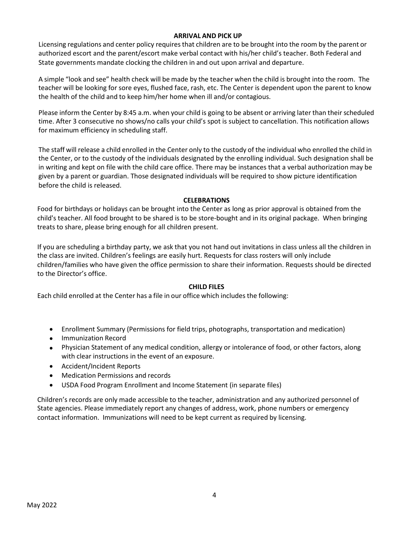## **ARRIVAL AND PICK UP**

Licensing regulations and center policy requiresthat children are to be brought into the room by the parent or authorized escort and the parent/escort make verbal contact with his/her child's teacher. Both Federal and State governments mandate clocking the children in and out upon arrival and departure.

A simple "look and see" health check will be made by the teacher when the child is brought into the room. The teacher will be looking for sore eyes, flushed face, rash, etc. The Center is dependent upon the parent to know the health of the child and to keep him/her home when ill and/or contagious.

Please inform the Center by 8:45 a.m. when your child is going to be absent or arriving later than their scheduled time. After 3 consecutive no shows/no calls your child's spot is subject to cancellation. This notification allows for maximum efficiency in scheduling staff.

The staff will release a child enrolled in the Center only to the custody of the individual who enrolled the child in the Center, or to the custody of the individuals designated by the enrolling individual. Such designation shall be in writing and kept on file with the child care office. There may be instances that a verbal authorization may be given by a parent or guardian. Those designated individuals will be required to show picture identification before the child is released.

#### **CELEBRATIONS**

Food for birthdays or holidays can be brought into the Center as long as prior approval is obtained from the child's teacher. All food brought to be shared is to be store-bought and in its original package. When bringing treats to share, please bring enough for all children present.

If you are scheduling a birthday party, we ask that you not hand out invitations in class unless all the children in the class are invited. Children's feelings are easily hurt. Requests for class rosters will only include children/families who have given the office permission to share their information. Requests should be directed to the Director's office.

#### **CHILD FILES**

Each child enrolled at the Center has a file in our office which includes the following:

- Enrollment Summary (Permissions for field trips, photographs, transportation and medication)
- Immunization Record
- Physician Statement of any medical condition, allergy or intolerance of food, or other factors, along with clear instructions in the event of an exposure.
- Accident/Incident Reports •
- Medication Permissions and records •
- USDA Food Program Enrollment and Income Statement (in separate files)  $\bullet$

Children's records are only made accessible to the teacher, administration and any authorized personnel of State agencies. Please immediately report any changes of address, work, phone numbers or emergency contact information. Immunizations will need to be kept current as required by licensing.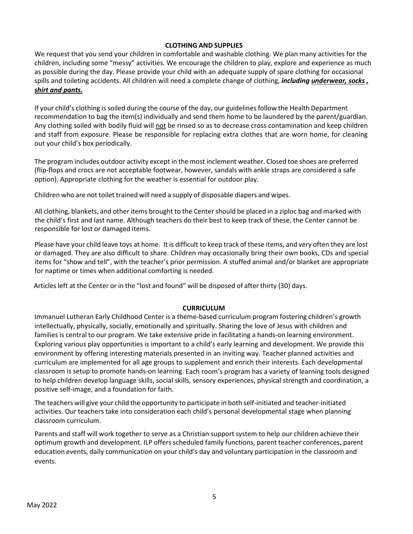## **CLOTHING AND SUPPLIES**

We request that you send your children in comfortable and washable clothing. We plan many activities for the children, including some "messy" activities. We encourage the children to play, explore and experience as much as possible during the day. Please provide your child with an adequate supply of spare clothing for occasional spills and toileting accidents. All children will need a complete change of clothing, *including underwear, socks , shirt and pants.*

If your child's clothing is soiled during the course of the day, our guidelines follow the Health Department recommendation to bag the item(s) individually and send them home to be laundered by the parent/guardian. Any clothing soiled with bodily fluid will not be rinsed so as to decrease cross contamination and keep children and staff from exposure. Please be responsible for replacing extra clothes that are worn home, for cleaning out your child's box periodically.

The program includes outdoor activity except in the most inclement weather. Closed toe shoes are preferred (flip-flops and crocs are not acceptable footwear, however, sandals with ankle straps are considered a safe option). Appropriate clothing for the weather is essential for outdoor play.

Children who are not toilet trained will need a supply of disposable diapers and wipes.

All clothing, blankets, and other items brought to the Centershould be placed in a ziploc bag and marked with the child's first and last name. Although teachers do their best to keep track of these, the Center cannot be responsible for lost or damaged items.

Please have your child leave toys at home. It is difficult to keep track of these items, and very often they are lost or damaged. They are also difficult to share. Children may occasionally bring their own books, CDs and special items for "show and tell", with the teacher's prior permission. A stuffed animal and/or blanket are appropriate for naptime or times when additional comforting is needed.

Articles left at the Center or in the "lost and found" will be disposed of after thirty (30) days.

## **CURRICULUM**

Immanuel Lutheran Early Childhood Center is a theme-based curriculum program fostering children's growth intellectually, physically, socially, emotionally and spiritually. Sharing the love of Jesus with children and families is central to our program. We take extensive pride in facilitating a hands-on learning environment. Exploring various play opportunities is important to a child's early learning and development. We provide this environment by offering interesting materials presented in an inviting way. Teacher planned activities and curriculum are implemented for all age groups to supplement and enrich their interests. Each developmental classroom is setup to promote hands-on learning. Each room's program has a variety of learning tools designed to help children develop language skills, social skills, sensory experiences, physical strength and coordination, a positive self-image, and a foundation for faith.

The teachers will give your child the opportunity to participate in both self-initiated and teacher-initiated activities. Our teachers take into consideration each child's personal developmental stage when planning classroom curriculum.

Parents and staff will work together to serve as a Christian support system to help our children achieve their optimum growth and development. ILP offers scheduled family functions, parent teacher conferences, parent education events, daily communication on your child's day and voluntary participation in the classroom and events.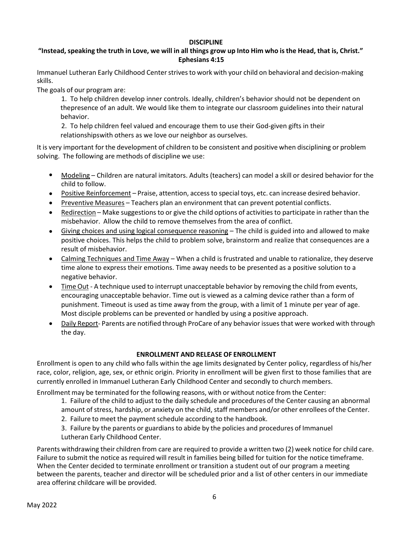## **DISCIPLINE**

# "Instead, speaking the truth in Love, we will in all things grow up Into Him who is the Head, that is, Christ." **Ephesians 4:15**

Immanuel Lutheran Early Childhood Center strives to work with your child on behavioral and decision-making skills.

The goals of our program are:

1. To help children develop inner controls. Ideally, children's behavior should not be dependent on thepresence of an adult. We would like them to integrate our classroom guidelines into their natural behavior.

2. To help children feel valued and encourage them to use their God-given gifts in their relationshipswith others as we love our neighbor as ourselves.

It is very important for the development of children to be consistent and positive when disciplining or problem solving. The following are methods of discipline we use:

- Modeling Children are natural imitators. Adults (teachers) can model a skill or desired behavior for the child to follow.
- Positive Reinforcement Praise, attention, access to special toys, etc. can increase desired behavior.
- Preventive Measures Teachers plan an environment that can prevent potential conflicts.
- Redirection Make suggestions to or give the child options of activities to participate in rather than the misbehavior. Allow the child to remove themselves from the area of conflict. •
- Giving choices and using logical consequence reasoning The child is guided into and allowed to make positive choices. This helps the child to problem solve, brainstorm and realize that consequences are a result of misbehavior. •
- Calming Techniques and Time Away When a child is frustrated and unable to rationalize, they deserve time alone to express their emotions. Time away needs to be presented as a positive solution to a negative behavior.
- Time Out A technique used to interrupt unacceptable behavior by removing the child from events, encouraging unacceptable behavior. Time out is viewed as a calming device rather than a form of punishment. Timeout is used as time away from the group, with a limit of 1 minute per year of age. Most disciple problems can be prevented or handled by using a positive approach.
- Daily Report- Parents are notified through ProCare of any behavior issues that were worked with through the day. •

# **ENROLLMENT AND RELEASE OF ENROLLMENT**

Enrollment is open to any child who falls within the age limits designated by Center policy, regardless of his/her race, color, religion, age, sex, or ethnic origin. Priority in enrollment will be given first to those families that are currently enrolled in Immanuel Lutheran Early Childhood Center and secondly to church members.

Enrollment may be terminated for the following reasons, with or without notice from the Center:

- 1. Failure of the child to adjust to the daily schedule and procedures of the Center causing an abnormal
- amount of stress, hardship, or anxiety on the child, staff members and/or other enrollees of the Center.
- 2. Failure to meet the payment schedule according to the handbook.
- 3. Failure by the parents or guardians to abide by the policies and procedures of Immanuel Lutheran Early Childhood Center.

Parents withdrawing their children from care are required to provide a written two (2) week notice for child care. Failure to submit the notice as required will result in families being billed for tuition for the notice timeframe. When the Center decided to terminate enrollment or transition a student out of our program a meeting between the parents, teacher and director will be scheduled prior and a list of other centers in our immediate area offering childcare will be provided.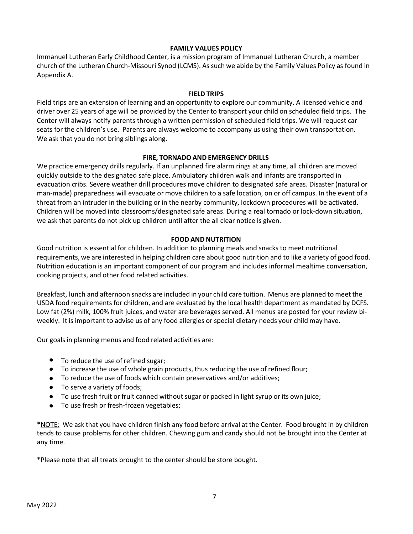## **FAMILY VALUES POLICY**

Immanuel Lutheran Early Childhood Center, is a mission program of Immanuel Lutheran Church, a member church of the Lutheran Church-Missouri Synod (LCMS). As such we abide by the Family Values Policy as found in Appendix A.

## **FIELD TRIPS**

Field trips are an extension of learning and an opportunity to explore our community. A licensed vehicle and driver over 25 years of age will be provided by the Center to transport your child on scheduled field trips. The Center will always notify parents through a written permission of scheduled field trips. We will request car seats for the children's use. Parents are always welcome to accompany us using their own transportation. We ask that you do not bring siblings along.

# **FIRE, TORNADO AND EMERGENCY DRILLS**

We practice emergency drills regularly. If an unplanned fire alarm rings at any time, all children are moved quickly outside to the designated safe place. Ambulatory children walk and infants are transported in evacuation cribs. Severe weather drill procedures move children to designated safe areas. Disaster (natural or man-made) preparedness will evacuate or move children to a safe location, on or off campus. In the event of a threat from an intruder in the building or in the nearby community, lockdown procedures will be activated. Children will be moved into classrooms/designated safe areas. During a real tornado or lock-down situation, we ask that parents do not pick up children until after the all clear notice is given.

# **FOOD ANDNUTRITION**

Good nutrition is essential for children. In addition to planning meals and snacks to meet nutritional requirements, we are interested in helping children care about good nutrition and to like a variety of good food. Nutrition education is an important component of our program and includes informal mealtime conversation, cooking projects, and other food related activities.

Breakfast, lunch and afternoon snacks are included in your child care tuition. Menus are planned to meet the USDA food requirements for children, and are evaluated by the local health department as mandated by DCFS. Low fat (2%) milk, 100% fruit juices, and water are beverages served. All menus are posted for your review biweekly. It is important to advise us of any food allergies or special dietary needs your child may have.

Our goals in planning menus and food related activities are:

- To reduce the use of refined sugar;
- To increase the use of whole grain products, thus reducing the use of refined flour;
- To reduce the use of foods which contain preservatives and/or additives;
- To serve a variety of foods;
- To use fresh fruit or fruit canned without sugar or packed in light syrup or its own juice;
- To use fresh or fresh-frozen vegetables;

\*NOTE: We ask that you have children finish any food before arrival at the Center. Food brought in by children tends to cause problems for other children. Chewing gum and candy should not be brought into the Center at any time.

\*Please note that all treats brought to the center should be store bought.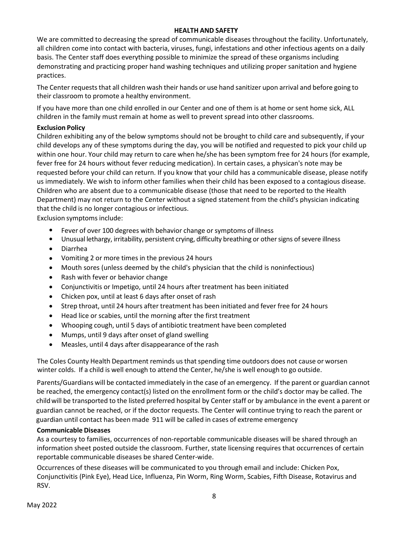#### **HEALTH AND SAFETY**

We are committed to decreasing the spread of communicable diseases throughout the facility. Unfortunately, all children come into contact with bacteria, viruses, fungi, infestations and other infectious agents on a daily basis. The Center staff does everything possible to minimize the spread of these organisms including demonstrating and practicing proper hand washing techniques and utilizing proper sanitation and hygiene practices.

The Center requeststhat all children wash their hands or use hand sanitizer upon arrival and before going to their classroom to promote a healthy environment.

If you have more than one child enrolled in our Center and one of them is at home or sent home sick, ALL children in the family must remain at home as well to prevent spread into other classrooms.

## **Exclusion Policy**

Children exhibiting any of the below symptoms should not be brought to child care and subsequently, if your child develops any of these symptoms during the day, you will be notified and requested to pick your child up within one hour. Your child may return to care when he/she has been symptom free for 24 hours (for example, fever free for 24 hours without fever reducing medication). In certain cases, a physican's note may be requested before your child can return. If you know that your child has a communicable disease, please notify us immediately. We wish to inform other families when their child has been exposed to a contagious disease. Children who are absent due to a communicable disease (those that need to be reported to the Health Department) may not return to the Center without a signed statement from the child's physician indicating that the child is no longer contagious or infectious.

Exclusion symptoms include:

- Fever of over 100 degrees with behavior change or symptoms of illness
- $\bullet$ Unusual lethargy, irritability, persistent crying, difficulty breathing or other signs of severe illness
- Diarrhea
- Vomiting 2 or more times in the previous 24 hours
- $\bullet$ Mouth sores (unless deemed by the child's physician that the child is noninfectious)
- Rash with fever or behavior change
- Conjunctivitis or Impetigo, until 24 hours after treatment has been initiated
- $\bullet$ Chicken pox, until at least 6 days after onset of rash
- Strep throat, until 24 hours after treatment has been initiated and fever free for 24 hours
- Head lice or scabies, until the morning after the first treatment
- $\bullet$ Whooping cough, until 5 days of antibiotic treatment have been completed
- Mumps, until 9 days after onset of gland swelling
- Measles, until 4 days after disappearance of the rash

The Coles County Health Department reminds us that spending time outdoors does not cause or worsen winter colds. If a child is well enough to attend the Center, he/she is well enough to go outside.

Parents/Guardians will be contacted immediately in the case of an emergency. If the parent or guardian cannot be reached, the emergency contact(s) listed on the enrollment form or the child's doctor may be called. The childwill be transported to the listed preferred hospital by Centerstaff or by ambulance in the event a parent or guardian cannot be reached, or if the doctor requests. The Center will continue trying to reach the parent or guardian until contact has been made 911 will be called in cases of extreme emergency

## **Communicable Diseases**

As a courtesy to families, occurrences of non-reportable communicable diseases will be shared through an information sheet posted outside the classroom. Further, state licensing requires that occurrences of certain reportable communicable diseases be shared Center-wide.

Occurrences of these diseases will be communicated to you through email and include: Chicken Pox, Conjunctivitis (Pink Eye), Head Lice, Influenza, Pin Worm, Ring Worm, Scabies, Fifth Disease, Rotavirus and RSV.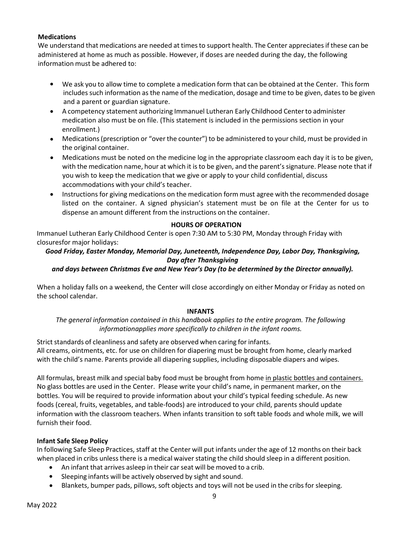# **Medications**

We understand that medications are needed at timesto support health. The Center appreciates if these can be administered at home as much as possible. However, if doses are needed during the day, the following information must be adhered to:

- We ask you to allow time to complete a medication form that can be obtained at the Center. This form includes such information as the name of the medication, dosage and time to be given, dates to be given and a parent or guardian signature.
- A competency statement authorizing Immanuel Lutheran Early Childhood Center to administer medication also must be on file. (This statement is included in the permissions section in your enrollment.)
- Medications (prescription or "over the counter") to be administered to your child, must be provided in the original container.
- Medications must be noted on the medicine log in the appropriate classroom each day it is to be given, with the medication name, hour at which it is to be given, and the parent's signature. Please note that if you wish to keep the medication that we give or apply to your child confidential, discuss accommodations with your child's teacher.
- . Instructions for giving medications on the medication form must agree with the recommended dosage listed on the container. A signed physician's statement must be on file at the Center for us to dispense an amount different from the instructions on the container.

# **HOURS OF OPERATION**

Immanuel Lutheran Early Childhood Center is open 7:30 AM to 5:30 PM, Monday through Friday with closuresfor major holidays:

# *Good Friday, Easter Monday, Memorial Day, Juneteenth, Independence Day, Labor Day, Thanksgiving, Day after Thanksgiving*

# *and days between Christmas Eve and New Year's Day (to be determined by the Director annually).*

When a holiday falls on a weekend, the Center will close accordingly on either Monday or Friday as noted on the school calendar.

## **INFANTS**

*The general information contained in this handbook applies to the entire program. The following informationapplies more specifically to children in the infant rooms.*

Strict standards of cleanliness and safety are observed when caring for infants. All creams, ointments, etc. for use on children for diapering must be brought from home, clearly marked with the child's name. Parents provide all diapering supplies, including disposable diapers and wipes.

All formulas, breast milk and special baby food must be brought from home in plastic bottles and containers. No glass bottles are used in the Center. Please write your child's name, in permanent marker, on the bottles. You will be required to provide information about your child's typical feeding schedule. As new foods (cereal, fruits, vegetables, and table-foods) are introduced to your child, parents should update information with the classroom teachers. When infants transition to soft table foods and whole milk, we will furnish their food.

## **Infant Safe Sleep Policy**

In following Safe Sleep Practices, staff at the Center will put infants under the age of 12 months on their back when placed in cribs unless there is a medical waiver stating the child should sleep in a different position.

- An infant that arrives asleep in their car seat will be moved to a crib.
- Sleeping infants will be actively observed by sight and sound.
- Blankets, bumper pads, pillows, soft objects and toys will not be used in the cribsfor sleeping.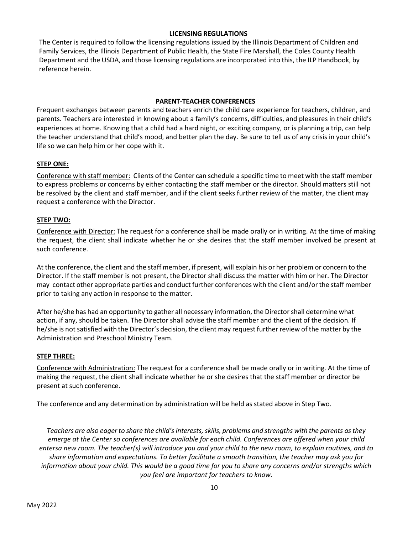#### **LICENSING REGULATIONS**

The Center is required to follow the licensing regulations issued by the Illinois Department of Children and Family Services, the Illinois Department of Public Health, the State Fire Marshall, the Coles County Health Department and the USDA, and those licensing regulations are incorporated into this, the ILP Handbook, by reference herein.

#### **PARENT-TEACHER CONFERENCES**

Frequent exchanges between parents and teachers enrich the child care experience for teachers, children, and parents. Teachers are interested in knowing about a family's concerns, difficulties, and pleasures in their child's experiences at home. Knowing that a child had a hard night, or exciting company, or is planning a trip, can help the teacher understand that child's mood, and better plan the day. Be sure to tell us of any crisis in your child's life so we can help him or her cope with it.

#### **STEP ONE:**

Conference with staff member: Clients of the Center can schedule a specific time to meet with the staff member to express problems or concerns by either contacting the staff member or the director. Should matters still not be resolved by the client and staff member, and if the client seeks further review of the matter, the client may request a conference with the Director.

## **STEP TWO:**

Conference with Director: The request for a conference shall be made orally or in writing. At the time of making the request, the client shall indicate whether he or she desires that the staff member involved be present at such conference.

At the conference, the client and the staff member, if present, will explain his or her problem or concern to the Director. If the staff member is not present, the Director shall discuss the matter with him or her. The Director may contact other appropriate parties and conduct further conferences with the client and/orthe staff member prior to taking any action in response to the matter.

After he/she has had an opportunity to gather all necessary information, the Directorshall determine what action, if any, should be taken. The Director shall advise the staff member and the client of the decision. If he/she is not satisfied with the Director's decision, the client may request further review of the matter by the Administration and Preschool Ministry Team.

## **STEP THREE:**

Conference with Administration: The request for a conference shall be made orally or in writing. At the time of making the request, the client shall indicate whether he or she desires that the staff member or director be present at such conference.

The conference and any determination by administration will be held as stated above in Step Two.

*Teachers are also eager to share the child's interests,skills, problems and strengths with the parents asthey emerge at the Center so conferences are available for each child. Conferences are offered when your child entersa new room. The teacher(s) will introduce you and your child to the new room, to explain routines, and to share information and expectations. To better facilitate a smooth transition, the teacher may ask you for information about your child. This would be a good time for you to share any concerns and/or strengths which you feel are important for teachers to know.*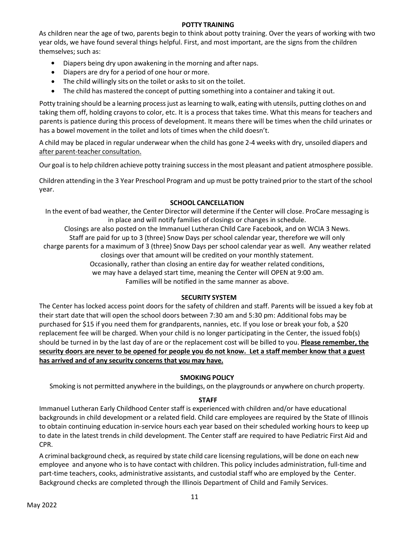## **POTTY TRAINING**

As children near the age of two, parents begin to think about potty training. Over the years of working with two year olds, we have found several things helpful. First, and most important, are the signs from the children themselves; such as:

- Diapers being dry upon awakening in the morning and after naps.
- Diapers are dry for a period of one hour or more.
- The child willingly sits on the toilet or asks to sit on the toilet.
- The child has mastered the concept of putting something into a container and taking it out.

Potty training should be a learning process just as learning to walk, eating with utensils, putting clothes on and taking them off, holding crayons to color, etc. It is a process that takes time. What this means for teachers and parents is patience during this process of development. It means there will be times when the child urinates or has a bowel movement in the toilet and lots of times when the child doesn't.

A child may be placed in regular underwear when the child has gone 2-4 weeks with dry, unsoiled diapers and after parent-teacher consultation.

Our goal isto help children achieve potty training successin the most pleasant and patient atmosphere possible.

Children attending in the 3 Year Preschool Program and up must be potty trained prior to the start of the school year.

# **SCHOOL CANCELLATION**

In the event of bad weather, the Center Director will determine if the Center will close. ProCare messaging is in place and will notify families of closings or changes in schedule.

Closings are also posted on the Immanuel Lutheran Child Care Facebook, and on WCIA 3 News.

Staff are paid for up to 3 (three) Snow Days per school calendar year, therefore we will only

charge parents for a maximum of 3 (three) Snow Days per school calendar year as well. Any weather related closings over that amount will be credited on your monthly statement.

Occasionally, rather than closing an entire day for weather related conditions,

we may have a delayed start time, meaning the Center will OPEN at 9:00 am.

Families will be notified in the same manner as above.

## **SECURITY SYSTEM**

The Center has locked access point doors for the safety of children and staff. Parents will be issued a key fob at their start date that will open the school doors between 7:30 am and 5:30 pm: Additional fobs may be purchased for \$15 if you need them for grandparents, nannies, etc. If you lose or break your fob, a \$20 replacement fee will be charged. When your child is no longer participating in the Center, the issued fob(s) should be turned in by the last day of are or the replacement cost will be billed to you. **Please remember, the security doors are never to be opened for people you do not know. Let a staff member know that a guest has arrived and of any security concerns that you may have.**

## **SMOKING POLICY**

Smoking is not permitted anywhere in the buildings, on the playgrounds or anywhere on church property.

# **STAFF**

Immanuel Lutheran Early Childhood Center staff is experienced with children and/or have educational backgrounds in child development or a related field. Child care employees are required by the State of Illinois to obtain continuing education in-service hours each year based on their scheduled working hours to keep up to date in the latest trends in child development. The Center staff are required to have Pediatric First Aid and CPR.

A criminal background check, as required by state child care licensing regulations, will be done on each new employee and anyone who is to have contact with children. This policy includes administration, full-time and part-time teachers, cooks, administrative assistants, and custodial staff who are employed by the Center. Background checks are completed through the Illinois Department of Child and Family Services.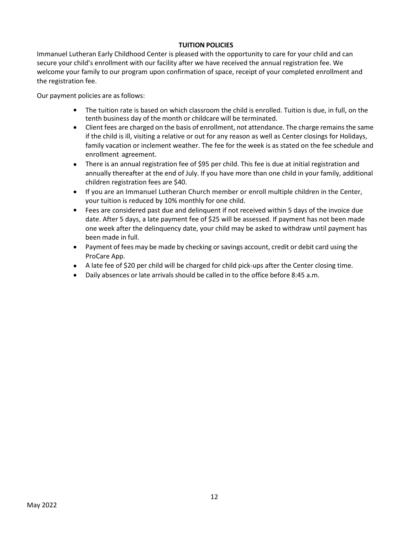# **TUITION POLICIES**

Immanuel Lutheran Early Childhood Center is pleased with the opportunity to care for your child and can secure your child's enrollment with our facility after we have received the annual registration fee. We welcome your family to our program upon confirmation of space, receipt of your completed enrollment and the registration fee.

Our payment policies are as follows:

- The tuition rate is based on which classroom the child is enrolled. Tuition is due, in full, on the tenth business day of the month or childcare will be terminated.
- Client fees are charged on the basis of enrollment, not attendance. The charge remains the same if the child is ill, visiting a relative or out for any reason as well as Center closings for Holidays, family vacation or inclement weather. The fee for the week is as stated on the fee schedule and enrollment agreement.
- There is an annual registration fee of \$95 per child. This fee is due at initial registration and annually thereafter at the end of July. If you have more than one child in your family, additional children registration fees are \$40.
- If you are an Immanuel Lutheran Church member or enroll multiple children in the Center, your tuition is reduced by 10% monthly for one child.
- Fees are considered past due and delinquent if not received within 5 days of the invoice due date. After 5 days, a late payment fee of \$25 will be assessed. If payment has not been made one week after the delinquency date, your child may be asked to withdraw until payment has been made in full.
- Payment of fees may be made by checking or savings account, credit or debit card using the ProCare App.
- A late fee of \$20 per child will be charged for child pick-ups after the Center closing time.
- Daily absences or late arrivals should be called in to the office before 8:45 a.m. •